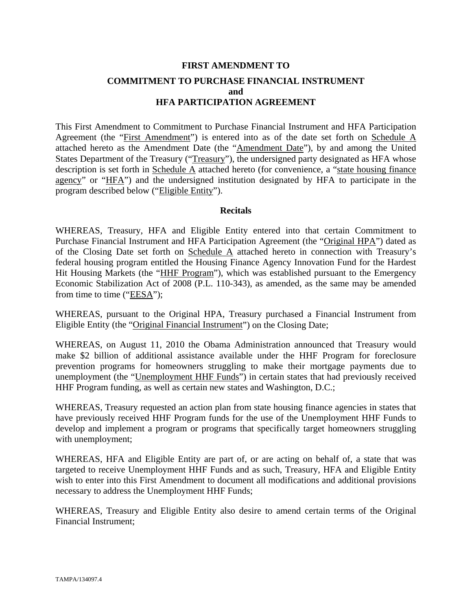# **FIRST AMENDMENT TO COMMITMENT TO PURCHASE FINANCIAL INSTRUMENT and HFA PARTICIPATION AGREEMENT**

This First Amendment to Commitment to Purchase Financial Instrument and HFA Participation Agreement (the "First Amendment") is entered into as of the date set forth on Schedule A attached hereto as the Amendment Date (the "Amendment Date"), by and among the United States Department of the Treasury ("Treasury"), the undersigned party designated as HFA whose description is set forth in Schedule A attached hereto (for convenience, a "state housing finance agency" or "HFA") and the undersigned institution designated by HFA to participate in the program described below ("Eligible Entity").

## **Recitals**

WHEREAS, Treasury, HFA and Eligible Entity entered into that certain Commitment to Purchase Financial Instrument and HFA Participation Agreement (the "Original HPA") dated as of the Closing Date set forth on Schedule A attached hereto in connection with Treasury's federal housing program entitled the Housing Finance Agency Innovation Fund for the Hardest Hit Housing Markets (the "HHF Program"), which was established pursuant to the Emergency Economic Stabilization Act of 2008 (P.L. 110-343), as amended, as the same may be amended from time to time ("EESA");

WHEREAS, pursuant to the Original HPA, Treasury purchased a Financial Instrument from Eligible Entity (the "Original Financial Instrument") on the Closing Date;

WHEREAS, on August 11, 2010 the Obama Administration announced that Treasury would make \$2 billion of additional assistance available under the HHF Program for foreclosure prevention programs for homeowners struggling to make their mortgage payments due to unemployment (the "Unemployment HHF Funds") in certain states that had previously received HHF Program funding, as well as certain new states and Washington, D.C.;

WHEREAS, Treasury requested an action plan from state housing finance agencies in states that have previously received HHF Program funds for the use of the Unemployment HHF Funds to develop and implement a program or programs that specifically target homeowners struggling with unemployment;

WHEREAS, HFA and Eligible Entity are part of, or are acting on behalf of, a state that was targeted to receive Unemployment HHF Funds and as such, Treasury, HFA and Eligible Entity wish to enter into this First Amendment to document all modifications and additional provisions necessary to address the Unemployment HHF Funds;

WHEREAS, Treasury and Eligible Entity also desire to amend certain terms of the Original Financial Instrument;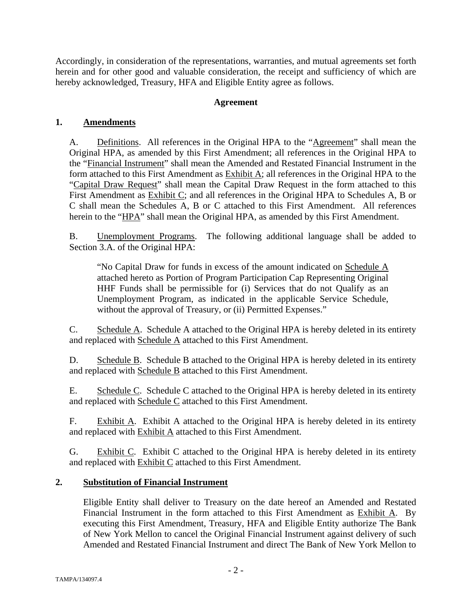Accordingly, in consideration of the representations, warranties, and mutual agreements set forth herein and for other good and valuable consideration, the receipt and sufficiency of which are hereby acknowledged, Treasury, HFA and Eligible Entity agree as follows.

# **Agreement**

# **1. Amendments**

A. Definitions. All references in the Original HPA to the "Agreement" shall mean the Original HPA, as amended by this First Amendment; all references in the Original HPA to the "Financial Instrument" shall mean the Amended and Restated Financial Instrument in the form attached to this First Amendment as Exhibit A; all references in the Original HPA to the "Capital Draw Request" shall mean the Capital Draw Request in the form attached to this First Amendment as Exhibit C; and all references in the Original HPA to Schedules A, B or C shall mean the Schedules A, B or C attached to this First Amendment. All references herein to the "HPA" shall mean the Original HPA, as amended by this First Amendment.

B. Unemployment Programs. The following additional language shall be added to Section 3.A. of the Original HPA:

"No Capital Draw for funds in excess of the amount indicated on Schedule A attached hereto as Portion of Program Participation Cap Representing Original HHF Funds shall be permissible for (i) Services that do not Qualify as an Unemployment Program, as indicated in the applicable Service Schedule, without the approval of Treasury, or (ii) Permitted Expenses."

C. Schedule A. Schedule A attached to the Original HPA is hereby deleted in its entirety and replaced with Schedule A attached to this First Amendment.

D. Schedule B. Schedule B attached to the Original HPA is hereby deleted in its entirety and replaced with Schedule B attached to this First Amendment.

E. Schedule C. Schedule C attached to the Original HPA is hereby deleted in its entirety and replaced with Schedule C attached to this First Amendment.

F. Exhibit A. Exhibit A attached to the Original HPA is hereby deleted in its entirety and replaced with **Exhibit A** attached to this First Amendment.

G. Exhibit C. Exhibit C attached to the Original HPA is hereby deleted in its entirety and replaced with **Exhibit C** attached to this First Amendment.

# **2. Substitution of Financial Instrument**

Eligible Entity shall deliver to Treasury on the date hereof an Amended and Restated Financial Instrument in the form attached to this First Amendment as Exhibit A. By executing this First Amendment, Treasury, HFA and Eligible Entity authorize The Bank of New York Mellon to cancel the Original Financial Instrument against delivery of such Amended and Restated Financial Instrument and direct The Bank of New York Mellon to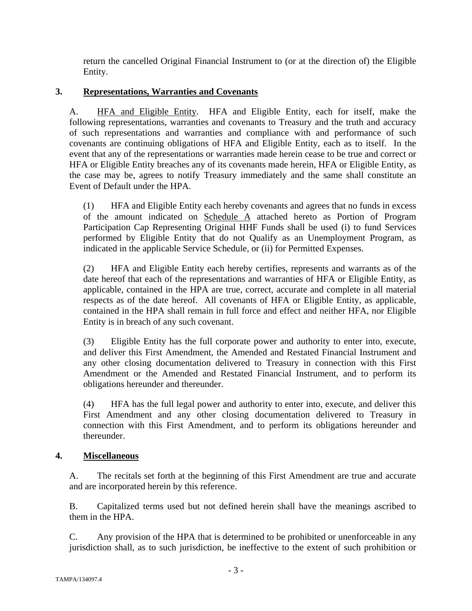return the cancelled Original Financial Instrument to (or at the direction of) the Eligible Entity.

# **3. Representations, Warranties and Covenants**

A. HFA and Eligible Entity. HFA and Eligible Entity, each for itself, make the following representations, warranties and covenants to Treasury and the truth and accuracy of such representations and warranties and compliance with and performance of such covenants are continuing obligations of HFA and Eligible Entity, each as to itself. In the event that any of the representations or warranties made herein cease to be true and correct or HFA or Eligible Entity breaches any of its covenants made herein, HFA or Eligible Entity, as the case may be, agrees to notify Treasury immediately and the same shall constitute an Event of Default under the HPA.

(1) HFA and Eligible Entity each hereby covenants and agrees that no funds in excess of the amount indicated on Schedule A attached hereto as Portion of Program Participation Cap Representing Original HHF Funds shall be used (i) to fund Services performed by Eligible Entity that do not Qualify as an Unemployment Program, as indicated in the applicable Service Schedule, or (ii) for Permitted Expenses.

(2) HFA and Eligible Entity each hereby certifies, represents and warrants as of the date hereof that each of the representations and warranties of HFA or Eligible Entity, as applicable, contained in the HPA are true, correct, accurate and complete in all material respects as of the date hereof. All covenants of HFA or Eligible Entity, as applicable, contained in the HPA shall remain in full force and effect and neither HFA, nor Eligible Entity is in breach of any such covenant.

(3) Eligible Entity has the full corporate power and authority to enter into, execute, and deliver this First Amendment, the Amended and Restated Financial Instrument and any other closing documentation delivered to Treasury in connection with this First Amendment or the Amended and Restated Financial Instrument, and to perform its obligations hereunder and thereunder.

(4) HFA has the full legal power and authority to enter into, execute, and deliver this First Amendment and any other closing documentation delivered to Treasury in connection with this First Amendment, and to perform its obligations hereunder and thereunder.

# **4. Miscellaneous**

A. The recitals set forth at the beginning of this First Amendment are true and accurate and are incorporated herein by this reference.

B. Capitalized terms used but not defined herein shall have the meanings ascribed to them in the HPA.

C. Any provision of the HPA that is determined to be prohibited or unenforceable in any jurisdiction shall, as to such jurisdiction, be ineffective to the extent of such prohibition or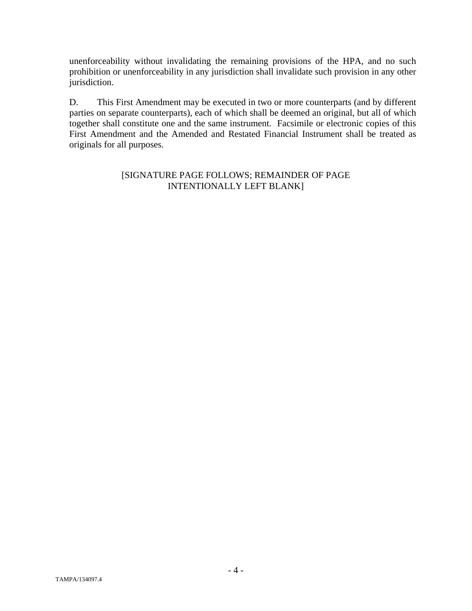unenforceability without invalidating the remaining provisions of the HPA, and no such prohibition or unenforceability in any jurisdiction shall invalidate such provision in any other jurisdiction.

D. This First Amendment may be executed in two or more counterparts (and by different parties on separate counterparts), each of which shall be deemed an original, but all of which together shall constitute one and the same instrument. Facsimile or electronic copies of this First Amendment and the Amended and Restated Financial Instrument shall be treated as originals for all purposes.

# [SIGNATURE PAGE FOLLOWS; REMAINDER OF PAGE INTENTIONALLY LEFT BLANK]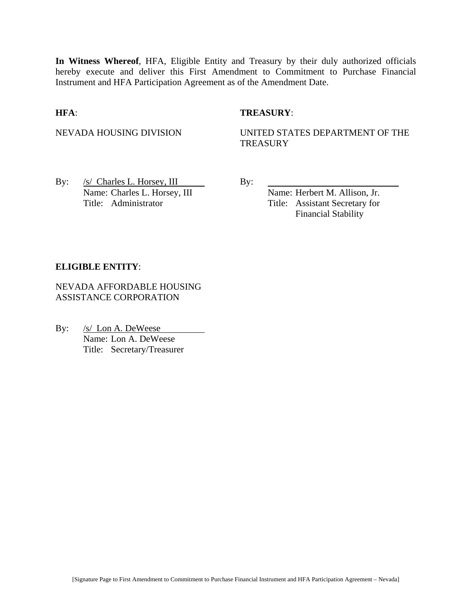**In Witness Whereof**, HFA, Eligible Entity and Treasury by their duly authorized officials hereby execute and deliver this First Amendment to Commitment to Purchase Financial Instrument and HFA Participation Agreement as of the Amendment Date.

## **HFA**: **TREASURY**:

NEVADA HOUSING DIVISION UNITED STATES DEPARTMENT OF THE **TREASURY** 

By:  $/s/$  Charles L. Horsey, III By: Name: Charles L. Horsey, III Name: Herbert M. Allison, Jr. Title: Administrator Title: Assistant Secretary for

Financial Stability

#### **ELIGIBLE ENTITY**:

NEVADA AFFORDABLE HOUSING ASSISTANCE CORPORATION

By: /s/ Lon A. DeWeese Name: Lon A. DeWeese Title: Secretary/Treasurer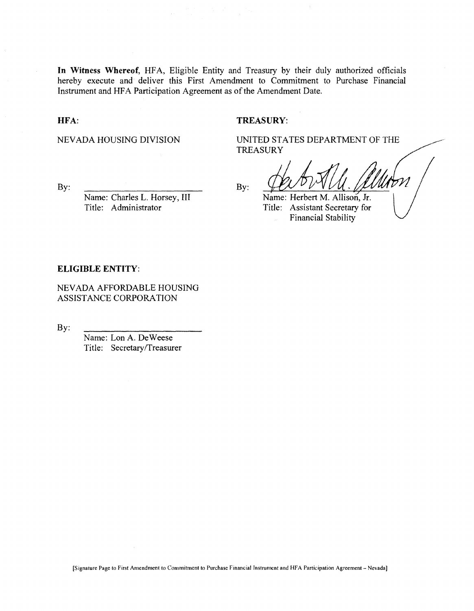**In Witness Whereof,** HFA, Eligible Entity and Treasury by their duly authorized officials hereby execute and deliver this First Amendment to Commitment to Purchase Financial Instrument and HFA Participation Agreement as of the Amendment Date.

#### **HFA:**

#### **TREASURY:**

NEVADA HOUSING DIVISION

UNITED STATES DEPARTMENT OF THE **TREASURY** 

By:

Name: Charles L. Horsey, **III** Title: Administrator

By:

Name: Herbert M. Allison, **Jr.**

Title: Assistant Secretary for Financial Stability

#### **ELIGIBLE ENTITY:**

NEVADA AFFORDABLE HOUSING ASSISTANCE CORPORATION

By:

Name: Lon A. DeWeese Title: Secretary/Treasurer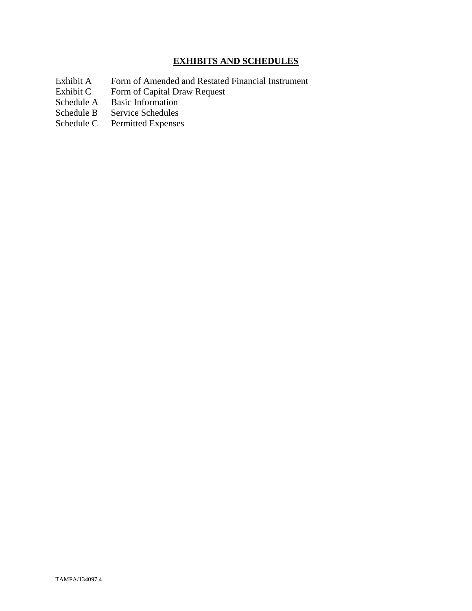# **EXHIBITS AND SCHEDULES**

- Exhibit A Form of Amended and Restated Financial Instrument<br>Exhibit C Form of Capital Draw Request
- Exhibit C Form of Capital Draw Request<br>Schedule A Basic Information
- Schedule A Basic Information<br>Schedule B Service Schedules
- Service Schedules
- Schedule C Permitted Expenses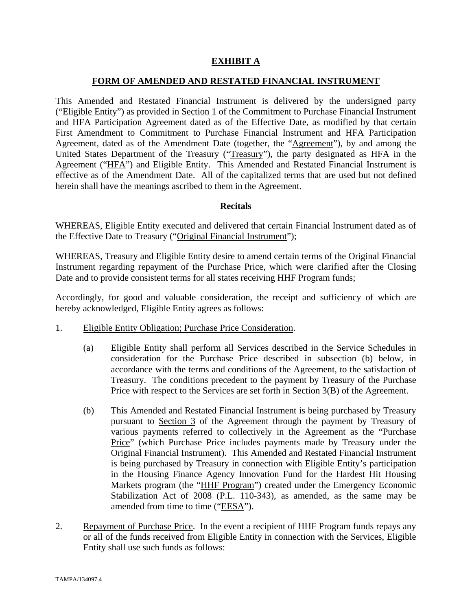# **EXHIBIT A**

## **FORM OF AMENDED AND RESTATED FINANCIAL INSTRUMENT**

This Amended and Restated Financial Instrument is delivered by the undersigned party ("Eligible Entity") as provided in Section 1 of the Commitment to Purchase Financial Instrument and HFA Participation Agreement dated as of the Effective Date, as modified by that certain First Amendment to Commitment to Purchase Financial Instrument and HFA Participation Agreement, dated as of the Amendment Date (together, the "Agreement"), by and among the United States Department of the Treasury ("Treasury"), the party designated as HFA in the Agreement ("HFA") and Eligible Entity. This Amended and Restated Financial Instrument is effective as of the Amendment Date. All of the capitalized terms that are used but not defined herein shall have the meanings ascribed to them in the Agreement.

## **Recitals**

WHEREAS, Eligible Entity executed and delivered that certain Financial Instrument dated as of the Effective Date to Treasury ("Original Financial Instrument");

WHEREAS, Treasury and Eligible Entity desire to amend certain terms of the Original Financial Instrument regarding repayment of the Purchase Price, which were clarified after the Closing Date and to provide consistent terms for all states receiving HHF Program funds;

Accordingly, for good and valuable consideration, the receipt and sufficiency of which are hereby acknowledged, Eligible Entity agrees as follows:

- 1. Eligible Entity Obligation; Purchase Price Consideration.
	- (a) Eligible Entity shall perform all Services described in the Service Schedules in consideration for the Purchase Price described in subsection (b) below, in accordance with the terms and conditions of the Agreement, to the satisfaction of Treasury. The conditions precedent to the payment by Treasury of the Purchase Price with respect to the Services are set forth in Section 3(B) of the Agreement.
	- (b) This Amended and Restated Financial Instrument is being purchased by Treasury pursuant to Section 3 of the Agreement through the payment by Treasury of various payments referred to collectively in the Agreement as the "Purchase Price" (which Purchase Price includes payments made by Treasury under the Original Financial Instrument). This Amended and Restated Financial Instrument is being purchased by Treasury in connection with Eligible Entity's participation in the Housing Finance Agency Innovation Fund for the Hardest Hit Housing Markets program (the "HHF Program") created under the Emergency Economic Stabilization Act of 2008 (P.L. 110-343), as amended, as the same may be amended from time to time ("EESA").
- 2. Repayment of Purchase Price. In the event a recipient of HHF Program funds repays any or all of the funds received from Eligible Entity in connection with the Services, Eligible Entity shall use such funds as follows: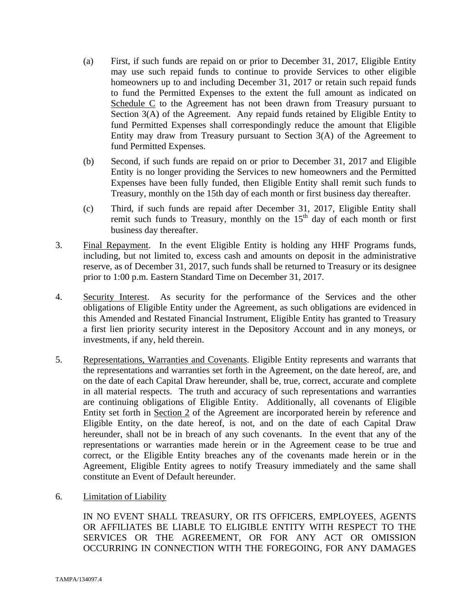- (a) First, if such funds are repaid on or prior to December 31, 2017, Eligible Entity may use such repaid funds to continue to provide Services to other eligible homeowners up to and including December 31, 2017 or retain such repaid funds to fund the Permitted Expenses to the extent the full amount as indicated on Schedule C to the Agreement has not been drawn from Treasury pursuant to Section 3(A) of the Agreement. Any repaid funds retained by Eligible Entity to fund Permitted Expenses shall correspondingly reduce the amount that Eligible Entity may draw from Treasury pursuant to Section  $3(A)$  of the Agreement to fund Permitted Expenses.
- (b) Second, if such funds are repaid on or prior to December 31, 2017 and Eligible Entity is no longer providing the Services to new homeowners and the Permitted Expenses have been fully funded, then Eligible Entity shall remit such funds to Treasury, monthly on the 15th day of each month or first business day thereafter.
- (c) Third, if such funds are repaid after December 31, 2017, Eligible Entity shall remit such funds to Treasury, monthly on the  $15<sup>th</sup>$  day of each month or first business day thereafter.
- 3. Final Repayment. In the event Eligible Entity is holding any HHF Programs funds, including, but not limited to, excess cash and amounts on deposit in the administrative reserve, as of December 31, 2017, such funds shall be returned to Treasury or its designee prior to 1:00 p.m. Eastern Standard Time on December 31, 2017.
- 4. Security Interest. As security for the performance of the Services and the other obligations of Eligible Entity under the Agreement, as such obligations are evidenced in this Amended and Restated Financial Instrument, Eligible Entity has granted to Treasury a first lien priority security interest in the Depository Account and in any moneys, or investments, if any, held therein.
- 5. Representations, Warranties and Covenants. Eligible Entity represents and warrants that the representations and warranties set forth in the Agreement, on the date hereof, are, and on the date of each Capital Draw hereunder, shall be, true, correct, accurate and complete in all material respects. The truth and accuracy of such representations and warranties are continuing obligations of Eligible Entity. Additionally, all covenants of Eligible Entity set forth in Section 2 of the Agreement are incorporated herein by reference and Eligible Entity, on the date hereof, is not, and on the date of each Capital Draw hereunder, shall not be in breach of any such covenants. In the event that any of the representations or warranties made herein or in the Agreement cease to be true and correct, or the Eligible Entity breaches any of the covenants made herein or in the Agreement, Eligible Entity agrees to notify Treasury immediately and the same shall constitute an Event of Default hereunder.
- 6. Limitation of Liability

IN NO EVENT SHALL TREASURY, OR ITS OFFICERS, EMPLOYEES, AGENTS OR AFFILIATES BE LIABLE TO ELIGIBLE ENTITY WITH RESPECT TO THE SERVICES OR THE AGREEMENT, OR FOR ANY ACT OR OMISSION OCCURRING IN CONNECTION WITH THE FOREGOING, FOR ANY DAMAGES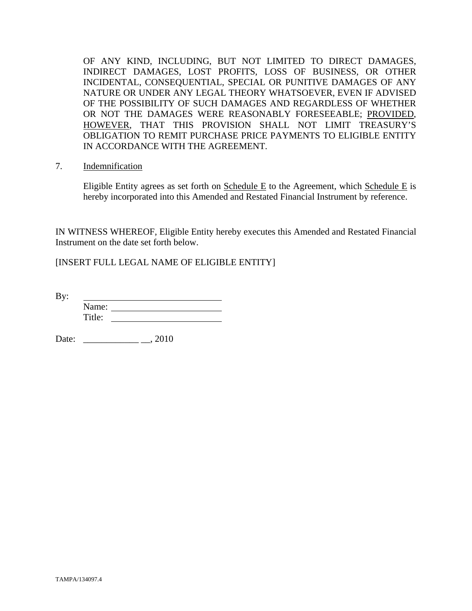OF ANY KIND, INCLUDING, BUT NOT LIMITED TO DIRECT DAMAGES, INDIRECT DAMAGES, LOST PROFITS, LOSS OF BUSINESS, OR OTHER INCIDENTAL, CONSEQUENTIAL, SPECIAL OR PUNITIVE DAMAGES OF ANY NATURE OR UNDER ANY LEGAL THEORY WHATSOEVER, EVEN IF ADVISED OF THE POSSIBILITY OF SUCH DAMAGES AND REGARDLESS OF WHETHER OR NOT THE DAMAGES WERE REASONABLY FORESEEABLE; PROVIDED, HOWEVER, THAT THIS PROVISION SHALL NOT LIMIT TREASURY'S OBLIGATION TO REMIT PURCHASE PRICE PAYMENTS TO ELIGIBLE ENTITY IN ACCORDANCE WITH THE AGREEMENT.

7. Indemnification

Eligible Entity agrees as set forth on Schedule E to the Agreement, which Schedule E is hereby incorporated into this Amended and Restated Financial Instrument by reference.

IN WITNESS WHEREOF, Eligible Entity hereby executes this Amended and Restated Financial Instrument on the date set forth below.

[INSERT FULL LEGAL NAME OF ELIGIBLE ENTITY]

By: Name: Title:

Date: \_\_\_\_\_\_\_\_\_\_\_\_ \_\_, 2010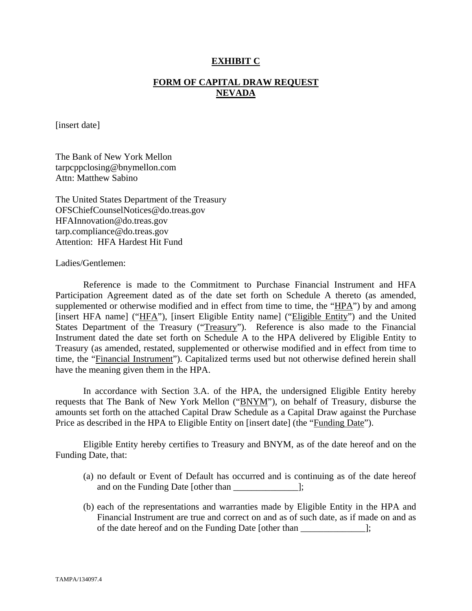## **EXHIBIT C**

## **FORM OF CAPITAL DRAW REQUEST NEVADA**

[insert date]

The Bank of New York Mellon tarpcppclosing@bnymellon.com Attn: Matthew Sabino

The United States Department of the Treasury OFSChiefCounselNotices@do.treas.gov HFAInnovation@do.treas.gov tarp.compliance@do.treas.gov Attention: HFA Hardest Hit Fund

Ladies/Gentlemen:

 Reference is made to the Commitment to Purchase Financial Instrument and HFA Participation Agreement dated as of the date set forth on Schedule A thereto (as amended, supplemented or otherwise modified and in effect from time to time, the "HPA") by and among [insert HFA name] ("HFA"), [insert Eligible Entity name] ("Eligible Entity") and the United States Department of the Treasury ("Treasury"). Reference is also made to the Financial Instrument dated the date set forth on Schedule A to the HPA delivered by Eligible Entity to Treasury (as amended, restated, supplemented or otherwise modified and in effect from time to time, the "Financial Instrument"). Capitalized terms used but not otherwise defined herein shall have the meaning given them in the HPA.

 In accordance with Section 3.A. of the HPA, the undersigned Eligible Entity hereby requests that The Bank of New York Mellon ("BNYM"), on behalf of Treasury, disburse the amounts set forth on the attached Capital Draw Schedule as a Capital Draw against the Purchase Price as described in the HPA to Eligible Entity on [insert date] (the "Funding Date").

 Eligible Entity hereby certifies to Treasury and BNYM, as of the date hereof and on the Funding Date, that:

- (a) no default or Event of Default has occurred and is continuing as of the date hereof and on the Funding Date [other than \_\_\_\_\_\_\_\_\_\_\_\_\_\_];
- (b) each of the representations and warranties made by Eligible Entity in the HPA and Financial Instrument are true and correct on and as of such date, as if made on and as of the date hereof and on the Funding Date [other than \_\_\_\_\_\_\_\_\_\_\_\_\_\_];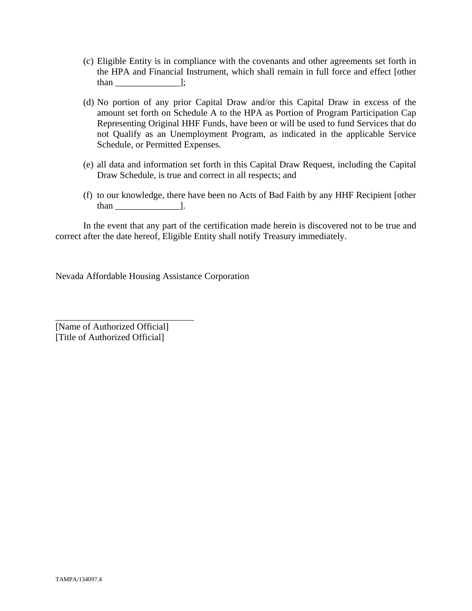- (c) Eligible Entity is in compliance with the covenants and other agreements set forth in the HPA and Financial Instrument, which shall remain in full force and effect [other than \_\_\_\_\_\_\_\_\_\_\_\_\_\_];
- (d) No portion of any prior Capital Draw and/or this Capital Draw in excess of the amount set forth on Schedule A to the HPA as Portion of Program Participation Cap Representing Original HHF Funds, have been or will be used to fund Services that do not Qualify as an Unemployment Program, as indicated in the applicable Service Schedule, or Permitted Expenses.
- (e) all data and information set forth in this Capital Draw Request, including the Capital Draw Schedule, is true and correct in all respects; and
- (f) to our knowledge, there have been no Acts of Bad Faith by any HHF Recipient [other than \_\_\_\_\_\_\_\_\_\_\_\_\_\_].

 In the event that any part of the certification made herein is discovered not to be true and correct after the date hereof, Eligible Entity shall notify Treasury immediately.

Nevada Affordable Housing Assistance Corporation

[Name of Authorized Official] [Title of Authorized Official]

 $\overline{a}$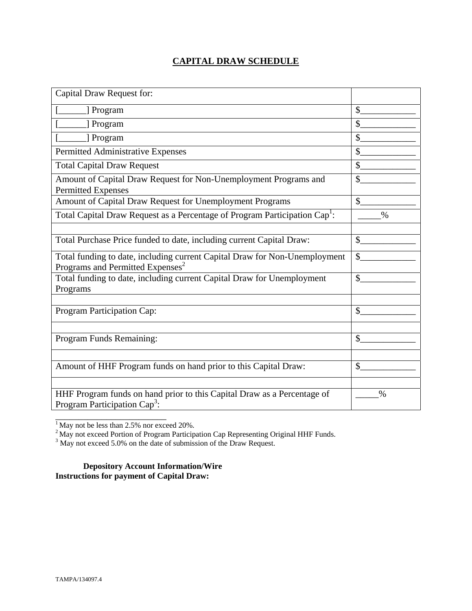# **CAPITAL DRAW SCHEDULE**

| Capital Draw Request for:                                                                                                  |               |
|----------------------------------------------------------------------------------------------------------------------------|---------------|
| [] Program                                                                                                                 | \$            |
| ] Program                                                                                                                  | $\mathcal{S}$ |
| [ Program                                                                                                                  | \$            |
| Permitted Administrative Expenses                                                                                          | \$            |
| <b>Total Capital Draw Request</b>                                                                                          | \$            |
| Amount of Capital Draw Request for Non-Unemployment Programs and<br><b>Permitted Expenses</b>                              | \$            |
| Amount of Capital Draw Request for Unemployment Programs                                                                   | $\mathcal{S}$ |
| Total Capital Draw Request as a Percentage of Program Participation Cap <sup>1</sup> :                                     | $\%$          |
|                                                                                                                            |               |
| Total Purchase Price funded to date, including current Capital Draw:                                                       | $\mathbb{S}$  |
| Total funding to date, including current Capital Draw for Non-Unemployment<br>Programs and Permitted Expenses <sup>2</sup> | \$            |
| Total funding to date, including current Capital Draw for Unemployment<br>Programs                                         | $\mathcal{S}$ |
|                                                                                                                            |               |
| Program Participation Cap:                                                                                                 | \$            |
|                                                                                                                            |               |
| Program Funds Remaining:                                                                                                   | \$            |
|                                                                                                                            |               |
| Amount of HHF Program funds on hand prior to this Capital Draw:                                                            | $\mathcal{S}$ |
|                                                                                                                            |               |
| HHF Program funds on hand prior to this Capital Draw as a Percentage of<br>Program Participation Cap <sup>3</sup> :        | $\%$          |

 $<sup>1</sup>$  May not be less than 2.5% nor exceed 20%.</sup>

\_\_\_\_\_\_\_\_\_\_\_\_\_\_\_\_\_\_\_\_\_\_\_\_

<sup>2</sup> May not exceed Portion of Program Participation Cap Representing Original HHF Funds.<br><sup>3</sup> May not exceed 5.0% on the date of submission of the Draw Request.

**Depository Account Information/Wire Instructions for payment of Capital Draw:**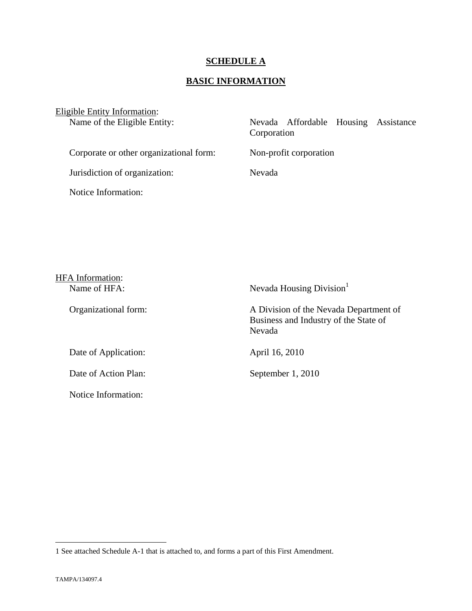# **SCHEDULE A**

# **BASIC INFORMATION**

| Eligible Entity Information: |  |
|------------------------------|--|
|------------------------------|--|

|  | Corporation | Nevada Affordable Housing Assistance |
|--|-------------|--------------------------------------|

Corporate or other organizational form: Non-profit corporation

Jurisdiction of organization: Nevada

Notice Information:

| HFA Information:     |                                                                                           |
|----------------------|-------------------------------------------------------------------------------------------|
| Name of HFA:         | Nevada Housing Division                                                                   |
| Organizational form: | A Division of the Nevada Department of<br>Business and Industry of the State of<br>Nevada |
| Date of Application: | April 16, 2010                                                                            |
| Date of Action Plan: | September 1, 2010                                                                         |
| Notice Information:  |                                                                                           |

 $\overline{a}$ 

<sup>1</sup> See attached Schedule A-1 that is attached to, and forms a part of this First Amendment.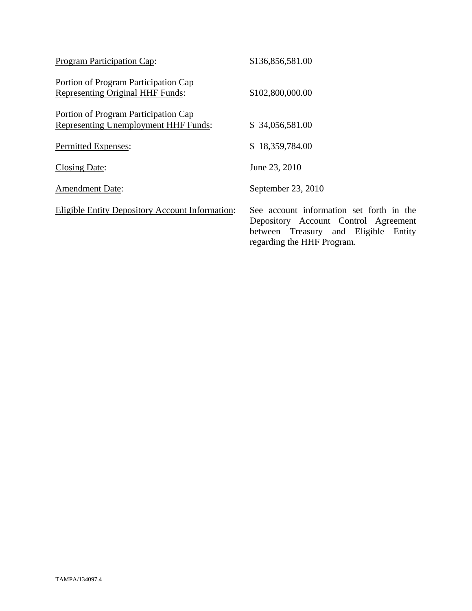| Program Participation Cap:                                                          | \$136,856,581.00                                                                                                                                          |
|-------------------------------------------------------------------------------------|-----------------------------------------------------------------------------------------------------------------------------------------------------------|
| Portion of Program Participation Cap<br><b>Representing Original HHF Funds:</b>     | \$102,800,000.00                                                                                                                                          |
| Portion of Program Participation Cap<br><b>Representing Unemployment HHF Funds:</b> | \$34,056,581.00                                                                                                                                           |
| Permitted Expenses:                                                                 | \$18,359,784.00                                                                                                                                           |
| <b>Closing Date:</b>                                                                | June 23, 2010                                                                                                                                             |
| <b>Amendment Date:</b>                                                              | September 23, 2010                                                                                                                                        |
| <b>Eligible Entity Depository Account Information:</b>                              | See account information set forth in the<br>Depository Account Control Agreement<br>between Treasury and Eligible<br>Entity<br>regarding the HHF Program. |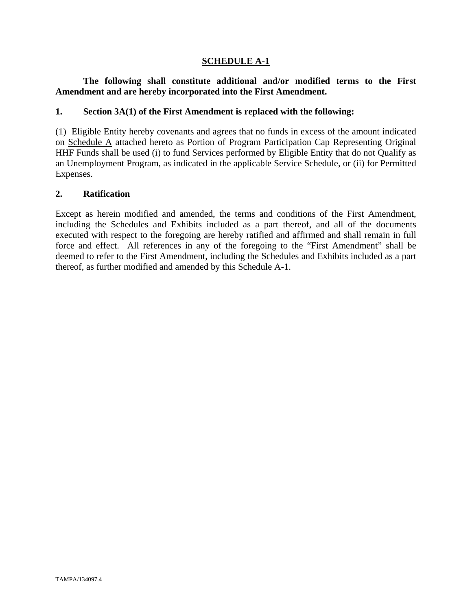## **SCHEDULE A-1**

# **The following shall constitute additional and/or modified terms to the First Amendment and are hereby incorporated into the First Amendment.**

## **1. Section 3A(1) of the First Amendment is replaced with the following:**

(1) Eligible Entity hereby covenants and agrees that no funds in excess of the amount indicated on Schedule A attached hereto as Portion of Program Participation Cap Representing Original HHF Funds shall be used (i) to fund Services performed by Eligible Entity that do not Qualify as an Unemployment Program, as indicated in the applicable Service Schedule, or (ii) for Permitted Expenses.

## **2. Ratification**

Except as herein modified and amended, the terms and conditions of the First Amendment, including the Schedules and Exhibits included as a part thereof, and all of the documents executed with respect to the foregoing are hereby ratified and affirmed and shall remain in full force and effect. All references in any of the foregoing to the "First Amendment" shall be deemed to refer to the First Amendment, including the Schedules and Exhibits included as a part thereof, as further modified and amended by this Schedule A-1.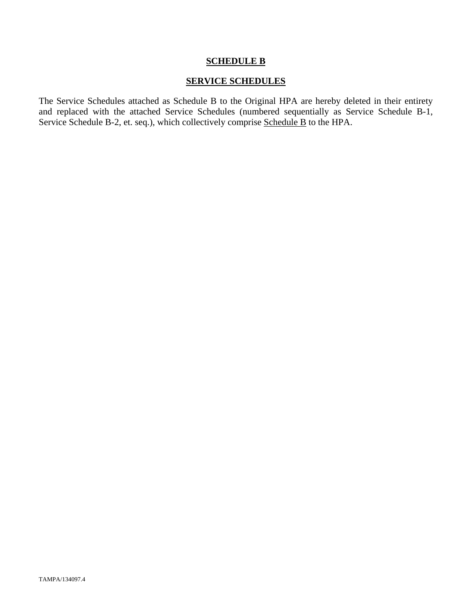## **SCHEDULE B**

## **SERVICE SCHEDULES**

The Service Schedules attached as Schedule B to the Original HPA are hereby deleted in their entirety and replaced with the attached Service Schedules (numbered sequentially as Service Schedule B-1, Service Schedule B-2, et. seq.), which collectively comprise Schedule B to the HPA.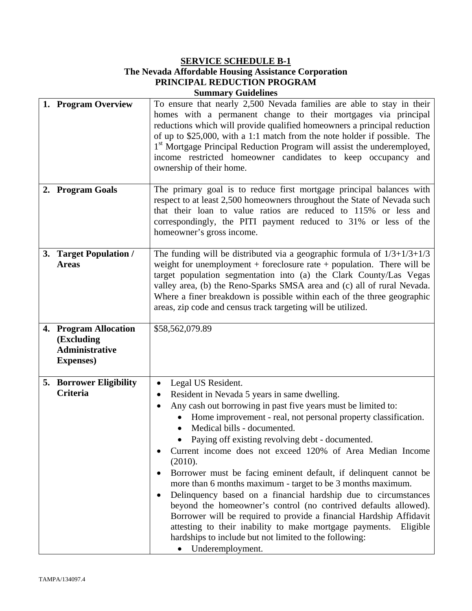## **SERVICE SCHEDULE B-1 The Nevada Affordable Housing Assistance Corporation PRINCIPAL REDUCTION PROGRAM Summary Guidelines**

| 1. Program Overview                                                               | To ensure that nearly 2,500 Nevada families are able to stay in their<br>homes with a permanent change to their mortgages via principal<br>reductions which will provide qualified homeowners a principal reduction<br>of up to $$25,000$ , with a 1:1 match from the note holder if possible. The<br>1 <sup>st</sup> Mortgage Principal Reduction Program will assist the underemployed,<br>income restricted homeowner candidates to keep occupancy and<br>ownership of their home.                                                                                                                                                                                                                                                                                                                                                                                                                                           |
|-----------------------------------------------------------------------------------|---------------------------------------------------------------------------------------------------------------------------------------------------------------------------------------------------------------------------------------------------------------------------------------------------------------------------------------------------------------------------------------------------------------------------------------------------------------------------------------------------------------------------------------------------------------------------------------------------------------------------------------------------------------------------------------------------------------------------------------------------------------------------------------------------------------------------------------------------------------------------------------------------------------------------------|
| 2. Program Goals                                                                  | The primary goal is to reduce first mortgage principal balances with<br>respect to at least 2,500 homeowners throughout the State of Nevada such<br>that their loan to value ratios are reduced to 115% or less and<br>correspondingly, the PITI payment reduced to 31% or less of the<br>homeowner's gross income.                                                                                                                                                                                                                                                                                                                                                                                                                                                                                                                                                                                                             |
| 3. Target Population /<br><b>Areas</b>                                            | The funding will be distributed via a geographic formula of $1/3+1/3+1/3$<br>weight for unemployment + foreclosure rate + population. There will be<br>target population segmentation into (a) the Clark County/Las Vegas<br>valley area, (b) the Reno-Sparks SMSA area and (c) all of rural Nevada.<br>Where a finer breakdown is possible within each of the three geographic<br>areas, zip code and census track targeting will be utilized.                                                                                                                                                                                                                                                                                                                                                                                                                                                                                 |
| 4. Program Allocation<br>(Excluding<br><b>Administrative</b><br><b>Expenses</b> ) | \$58,562,079.89                                                                                                                                                                                                                                                                                                                                                                                                                                                                                                                                                                                                                                                                                                                                                                                                                                                                                                                 |
| <b>5. Borrower Eligibility</b><br><b>Criteria</b>                                 | Legal US Resident.<br>$\bullet$<br>Resident in Nevada 5 years in same dwelling.<br>$\bullet$<br>Any cash out borrowing in past five years must be limited to:<br>Home improvement - real, not personal property classification.<br>Medical bills - documented.<br>Paying off existing revolving debt - documented.<br>Current income does not exceed 120% of Area Median Income<br>٠<br>(2010).<br>Borrower must be facing eminent default, if delinquent cannot be<br>$\bullet$<br>more than 6 months maximum - target to be 3 months maximum.<br>Delinquency based on a financial hardship due to circumstances<br>$\bullet$<br>beyond the homeowner's control (no contrived defaults allowed).<br>Borrower will be required to provide a financial Hardship Affidavit<br>attesting to their inability to make mortgage payments.<br>Eligible<br>hardships to include but not limited to the following:<br>• Underemployment. |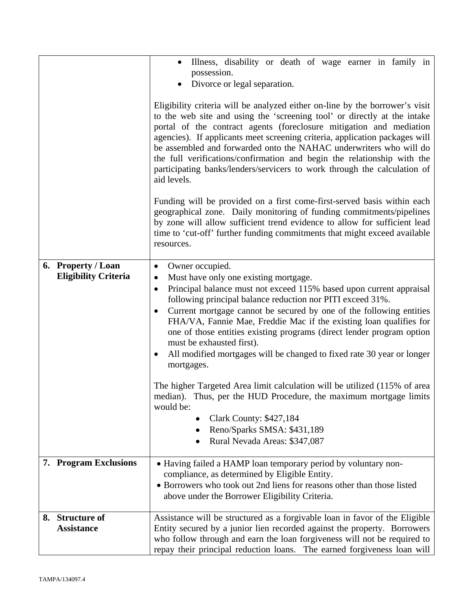|                             | Illness, disability or death of wage earner in family in<br>$\bullet$                                                                                                                                                                                                                                                                                                                                                                                                                                                                                                                                                                                                                                                                                                                                                         |
|-----------------------------|-------------------------------------------------------------------------------------------------------------------------------------------------------------------------------------------------------------------------------------------------------------------------------------------------------------------------------------------------------------------------------------------------------------------------------------------------------------------------------------------------------------------------------------------------------------------------------------------------------------------------------------------------------------------------------------------------------------------------------------------------------------------------------------------------------------------------------|
|                             | possession.                                                                                                                                                                                                                                                                                                                                                                                                                                                                                                                                                                                                                                                                                                                                                                                                                   |
|                             | Divorce or legal separation.                                                                                                                                                                                                                                                                                                                                                                                                                                                                                                                                                                                                                                                                                                                                                                                                  |
|                             |                                                                                                                                                                                                                                                                                                                                                                                                                                                                                                                                                                                                                                                                                                                                                                                                                               |
|                             | Eligibility criteria will be analyzed either on-line by the borrower's visit<br>to the web site and using the 'screening tool' or directly at the intake<br>portal of the contract agents (foreclosure mitigation and mediation<br>agencies). If applicants meet screening criteria, application packages will<br>be assembled and forwarded onto the NAHAC underwriters who will do<br>the full verifications/confirmation and begin the relationship with the<br>participating banks/lenders/servicers to work through the calculation of<br>aid levels.                                                                                                                                                                                                                                                                    |
|                             | Funding will be provided on a first come-first-served basis within each<br>geographical zone. Daily monitoring of funding commitments/pipelines<br>by zone will allow sufficient trend evidence to allow for sufficient lead<br>time to 'cut-off' further funding commitments that might exceed available<br>resources.                                                                                                                                                                                                                                                                                                                                                                                                                                                                                                       |
| 6. Property / Loan          | Owner occupied.<br>$\bullet$                                                                                                                                                                                                                                                                                                                                                                                                                                                                                                                                                                                                                                                                                                                                                                                                  |
| <b>Eligibility Criteria</b> | Must have only one existing mortgage.<br>$\bullet$<br>Principal balance must not exceed 115% based upon current appraisal<br>$\bullet$<br>following principal balance reduction nor PITI exceed 31%.<br>Current mortgage cannot be secured by one of the following entities<br>$\bullet$<br>FHA/VA, Fannie Mae, Freddie Mac if the existing loan qualifies for<br>one of those entities existing programs (direct lender program option<br>must be exhausted first).<br>All modified mortgages will be changed to fixed rate 30 year or longer<br>mortgages.<br>The higher Targeted Area limit calculation will be utilized (115% of area<br>median). Thus, per the HUD Procedure, the maximum mortgage limits<br>would be:<br><b>Clark County: \$427,184</b><br>Reno/Sparks SMSA: \$431,189<br>Rural Nevada Areas: \$347,087 |
|                             |                                                                                                                                                                                                                                                                                                                                                                                                                                                                                                                                                                                                                                                                                                                                                                                                                               |
| 7. Program Exclusions       | • Having failed a HAMP loan temporary period by voluntary non-<br>compliance, as determined by Eligible Entity.                                                                                                                                                                                                                                                                                                                                                                                                                                                                                                                                                                                                                                                                                                               |
|                             | • Borrowers who took out 2nd liens for reasons other than those listed                                                                                                                                                                                                                                                                                                                                                                                                                                                                                                                                                                                                                                                                                                                                                        |
|                             | above under the Borrower Eligibility Criteria.                                                                                                                                                                                                                                                                                                                                                                                                                                                                                                                                                                                                                                                                                                                                                                                |
| 8. Structure of             | Assistance will be structured as a forgivable loan in favor of the Eligible                                                                                                                                                                                                                                                                                                                                                                                                                                                                                                                                                                                                                                                                                                                                                   |
| <b>Assistance</b>           | Entity secured by a junior lien recorded against the property. Borrowers                                                                                                                                                                                                                                                                                                                                                                                                                                                                                                                                                                                                                                                                                                                                                      |
|                             | who follow through and earn the loan forgiveness will not be required to                                                                                                                                                                                                                                                                                                                                                                                                                                                                                                                                                                                                                                                                                                                                                      |
|                             | repay their principal reduction loans. The earned forgiveness loan will                                                                                                                                                                                                                                                                                                                                                                                                                                                                                                                                                                                                                                                                                                                                                       |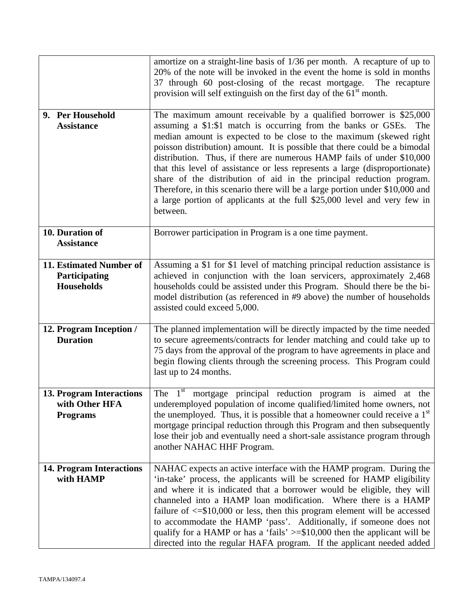|                                                                      | amortize on a straight-line basis of 1/36 per month. A recapture of up to<br>20% of the note will be invoked in the event the home is sold in months<br>37 through 60 post-closing of the recast mortgage.<br>The recapture<br>provision will self extinguish on the first day of the 61 <sup>st</sup> month.                                                                                                                                                                                                                                                                                                                                                                                       |
|----------------------------------------------------------------------|-----------------------------------------------------------------------------------------------------------------------------------------------------------------------------------------------------------------------------------------------------------------------------------------------------------------------------------------------------------------------------------------------------------------------------------------------------------------------------------------------------------------------------------------------------------------------------------------------------------------------------------------------------------------------------------------------------|
| 9. Per Household<br><b>Assistance</b>                                | The maximum amount receivable by a qualified borrower is \$25,000<br>assuming a \$1:\$1 match is occurring from the banks or GSEs. The<br>median amount is expected to be close to the maximum (skewed right<br>poisson distribution) amount. It is possible that there could be a bimodal<br>distribution. Thus, if there are numerous HAMP fails of under \$10,000<br>that this level of assistance or less represents a large (disproportionate)<br>share of the distribution of aid in the principal reduction program.<br>Therefore, in this scenario there will be a large portion under \$10,000 and<br>a large portion of applicants at the full \$25,000 level and very few in<br>between. |
| 10. Duration of<br><b>Assistance</b>                                 | Borrower participation in Program is a one time payment.                                                                                                                                                                                                                                                                                                                                                                                                                                                                                                                                                                                                                                            |
| 11. Estimated Number of<br>Participating<br><b>Households</b>        | Assuming a \$1 for \$1 level of matching principal reduction assistance is<br>achieved in conjunction with the loan servicers, approximately 2,468<br>households could be assisted under this Program. Should there be the bi-<br>model distribution (as referenced in #9 above) the number of households<br>assisted could exceed 5,000.                                                                                                                                                                                                                                                                                                                                                           |
| 12. Program Inception /<br><b>Duration</b>                           | The planned implementation will be directly impacted by the time needed<br>to secure agreements/contracts for lender matching and could take up to<br>75 days from the approval of the program to have agreements in place and<br>begin flowing clients through the screening process. This Program could<br>last up to 24 months.                                                                                                                                                                                                                                                                                                                                                                  |
| <b>13. Program Interactions</b><br>with Other HFA<br><b>Programs</b> | The $1st$<br>mortgage principal reduction program is aimed at the<br>underemployed population of income qualified/limited home owners, not<br>the unemployed. Thus, it is possible that a homeowner could receive a 1 <sup>st</sup><br>mortgage principal reduction through this Program and then subsequently<br>lose their job and eventually need a short-sale assistance program through<br>another NAHAC HHF Program.                                                                                                                                                                                                                                                                          |
| <b>14. Program Interactions</b><br>with HAMP                         | NAHAC expects an active interface with the HAMP program. During the<br>'in-take' process, the applicants will be screened for HAMP eligibility<br>and where it is indicated that a borrower would be eligible, they will<br>channeled into a HAMP loan modification. Where there is a HAMP<br>failure of $\leq$ \$10,000 or less, then this program element will be accessed<br>to accommodate the HAMP 'pass'. Additionally, if someone does not<br>qualify for a HAMP or has a 'fails' $>= $10,000$ then the applicant will be<br>directed into the regular HAFA program. If the applicant needed added                                                                                           |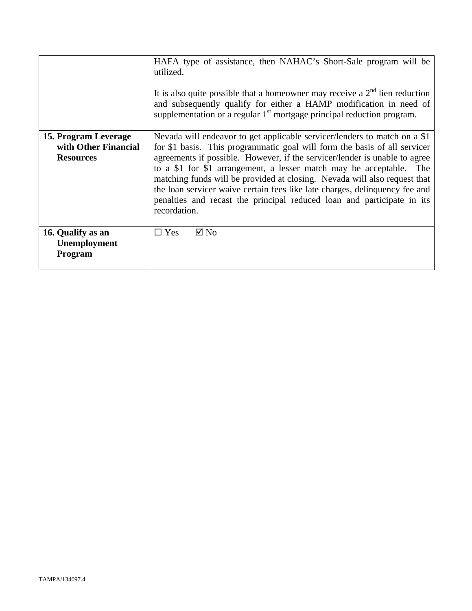|                                                                  | HAFA type of assistance, then NAHAC's Short-Sale program will be<br>utilized.<br>It is also quite possible that a homeowner may receive a $2nd$ lien reduction<br>and subsequently qualify for either a HAMP modification in need of<br>supplementation or a regular $1st$ mortgage principal reduction program.                                                                                                                                                                                                                                                     |
|------------------------------------------------------------------|----------------------------------------------------------------------------------------------------------------------------------------------------------------------------------------------------------------------------------------------------------------------------------------------------------------------------------------------------------------------------------------------------------------------------------------------------------------------------------------------------------------------------------------------------------------------|
| 15. Program Leverage<br>with Other Financial<br><b>Resources</b> | Nevada will endeavor to get applicable servicer/lenders to match on a \$1<br>for \$1 basis. This programmatic goal will form the basis of all servicer<br>agreements if possible. However, if the servicer/lender is unable to agree<br>to a \$1 for \$1 arrangement, a lesser match may be acceptable.<br>The<br>matching funds will be provided at closing. Nevada will also request that<br>the loan servicer waive certain fees like late charges, delinquency fee and<br>penalties and recast the principal reduced loan and participate in its<br>recordation. |
| 16. Qualify as an<br>Unemployment<br>Program                     | $\boxtimes$ No<br>$\Box$ Yes                                                                                                                                                                                                                                                                                                                                                                                                                                                                                                                                         |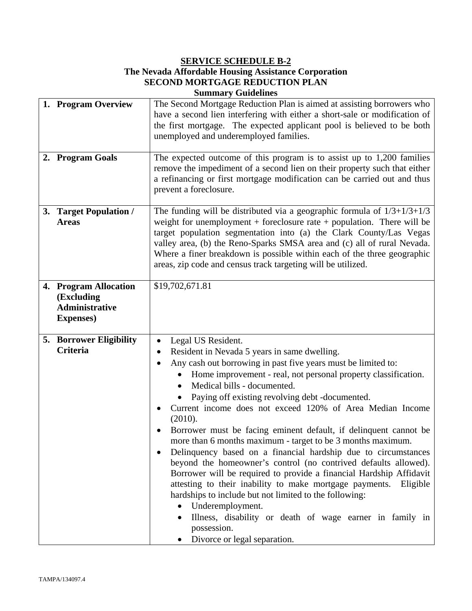## **SERVICE SCHEDULE B-2**

## **The Nevada Affordable Housing Assistance Corporation SECOND MORTGAGE REDUCTION PLAN Summary Guidelines**

| 1. Program Overview                                                               | The Second Mortgage Reduction Plan is aimed at assisting borrowers who<br>have a second lien interfering with either a short-sale or modification of<br>the first mortgage. The expected applicant pool is believed to be both<br>unemployed and underemployed families.                                                                                                                                                                                                                                                                                                                                                                                                                                                                                                                                                                                                                                                                                                       |
|-----------------------------------------------------------------------------------|--------------------------------------------------------------------------------------------------------------------------------------------------------------------------------------------------------------------------------------------------------------------------------------------------------------------------------------------------------------------------------------------------------------------------------------------------------------------------------------------------------------------------------------------------------------------------------------------------------------------------------------------------------------------------------------------------------------------------------------------------------------------------------------------------------------------------------------------------------------------------------------------------------------------------------------------------------------------------------|
| 2. Program Goals                                                                  | The expected outcome of this program is to assist up to $1,200$ families<br>remove the impediment of a second lien on their property such that either<br>a refinancing or first mortgage modification can be carried out and thus<br>prevent a foreclosure.                                                                                                                                                                                                                                                                                                                                                                                                                                                                                                                                                                                                                                                                                                                    |
| 3. Target Population /<br><b>Areas</b>                                            | The funding will be distributed via a geographic formula of $1/3+1/3+1/3$<br>weight for unemployment + foreclosure rate + population. There will be<br>target population segmentation into (a) the Clark County/Las Vegas<br>valley area, (b) the Reno-Sparks SMSA area and (c) all of rural Nevada.<br>Where a finer breakdown is possible within each of the three geographic<br>areas, zip code and census track targeting will be utilized.                                                                                                                                                                                                                                                                                                                                                                                                                                                                                                                                |
| 4. Program Allocation<br>(Excluding<br><b>Administrative</b><br><b>Expenses</b> ) | \$19,702,671.81                                                                                                                                                                                                                                                                                                                                                                                                                                                                                                                                                                                                                                                                                                                                                                                                                                                                                                                                                                |
| <b>5. Borrower Eligibility</b><br><b>Criteria</b>                                 | Legal US Resident.<br>Resident in Nevada 5 years in same dwelling.<br>Any cash out borrowing in past five years must be limited to:<br>Home improvement - real, not personal property classification.<br>Medical bills - documented.<br>Paying off existing revolving debt -documented.<br>Current income does not exceed 120% of Area Median Income<br>(2010).<br>Borrower must be facing eminent default, if delinquent cannot be<br>more than 6 months maximum - target to be 3 months maximum.<br>Delinquency based on a financial hardship due to circumstances<br>beyond the homeowner's control (no contrived defaults allowed).<br>Borrower will be required to provide a financial Hardship Affidavit<br>attesting to their inability to make mortgage payments.<br>Eligible<br>hardships to include but not limited to the following:<br>Underemployment.<br>Illness, disability or death of wage earner in family in<br>possession.<br>Divorce or legal separation. |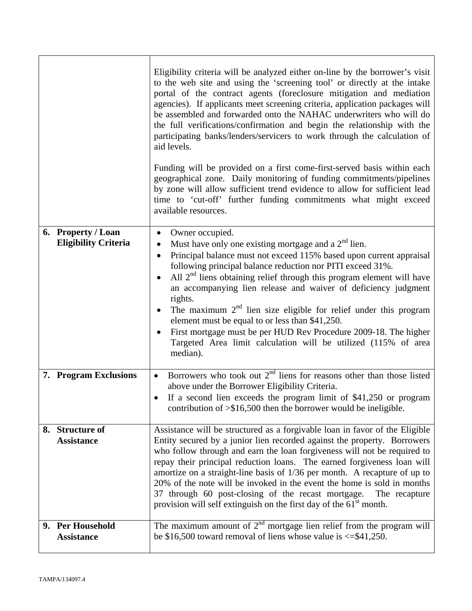|                                                   | Eligibility criteria will be analyzed either on-line by the borrower's visit<br>to the web site and using the 'screening tool' or directly at the intake<br>portal of the contract agents (foreclosure mitigation and mediation<br>agencies). If applicants meet screening criteria, application packages will<br>be assembled and forwarded onto the NAHAC underwriters who will do<br>the full verifications/confirmation and begin the relationship with the<br>participating banks/lenders/servicers to work through the calculation of<br>aid levels.<br>Funding will be provided on a first come-first-served basis within each<br>geographical zone. Daily monitoring of funding commitments/pipelines<br>by zone will allow sufficient trend evidence to allow for sufficient lead<br>time to 'cut-off' further funding commitments what might exceed<br>available resources. |
|---------------------------------------------------|---------------------------------------------------------------------------------------------------------------------------------------------------------------------------------------------------------------------------------------------------------------------------------------------------------------------------------------------------------------------------------------------------------------------------------------------------------------------------------------------------------------------------------------------------------------------------------------------------------------------------------------------------------------------------------------------------------------------------------------------------------------------------------------------------------------------------------------------------------------------------------------|
| 6. Property / Loan<br><b>Eligibility Criteria</b> | Owner occupied.<br>$\bullet$<br>Must have only one existing mortgage and a $2nd$ lien.<br>$\bullet$                                                                                                                                                                                                                                                                                                                                                                                                                                                                                                                                                                                                                                                                                                                                                                                   |
|                                                   | Principal balance must not exceed 115% based upon current appraisal<br>$\bullet$<br>following principal balance reduction nor PITI exceed 31%.<br>All $2nd$ liens obtaining relief through this program element will have                                                                                                                                                                                                                                                                                                                                                                                                                                                                                                                                                                                                                                                             |
|                                                   | an accompanying lien release and waiver of deficiency judgment<br>rights.                                                                                                                                                                                                                                                                                                                                                                                                                                                                                                                                                                                                                                                                                                                                                                                                             |
|                                                   | The maximum $2nd$ lien size eligible for relief under this program<br>$\bullet$<br>element must be equal to or less than \$41,250.                                                                                                                                                                                                                                                                                                                                                                                                                                                                                                                                                                                                                                                                                                                                                    |
|                                                   | First mortgage must be per HUD Rev Procedure 2009-18. The higher<br>Targeted Area limit calculation will be utilized (115% of area<br>median).                                                                                                                                                                                                                                                                                                                                                                                                                                                                                                                                                                                                                                                                                                                                        |
| 7. Program Exclusions                             | Borrowers who took out $2nd$ liens for reasons other than those listed<br>$\bullet$<br>above under the Borrower Eligibility Criteria.                                                                                                                                                                                                                                                                                                                                                                                                                                                                                                                                                                                                                                                                                                                                                 |
|                                                   | If a second lien exceeds the program limit of $$41,250$ or program<br>$\bullet$<br>contribution of $\geq$ \$16,500 then the borrower would be ineligible.                                                                                                                                                                                                                                                                                                                                                                                                                                                                                                                                                                                                                                                                                                                             |
| 8. Structure of<br><b>Assistance</b>              | Assistance will be structured as a forgivable loan in favor of the Eligible<br>Entity secured by a junior lien recorded against the property. Borrowers<br>who follow through and earn the loan forgiveness will not be required to<br>repay their principal reduction loans. The earned forgiveness loan will<br>amortize on a straight-line basis of 1/36 per month. A recapture of up to                                                                                                                                                                                                                                                                                                                                                                                                                                                                                           |
|                                                   | 20% of the note will be invoked in the event the home is sold in months<br>37 through 60 post-closing of the recast mortgage.<br>The recapture<br>provision will self extinguish on the first day of the 61 <sup>st</sup> month.                                                                                                                                                                                                                                                                                                                                                                                                                                                                                                                                                                                                                                                      |
| 9. Per Household<br><b>Assistance</b>             | The maximum amount of $2nd$ mortgage lien relief from the program will<br>be \$16,500 toward removal of liens whose value is $\le$ \$41,250.                                                                                                                                                                                                                                                                                                                                                                                                                                                                                                                                                                                                                                                                                                                                          |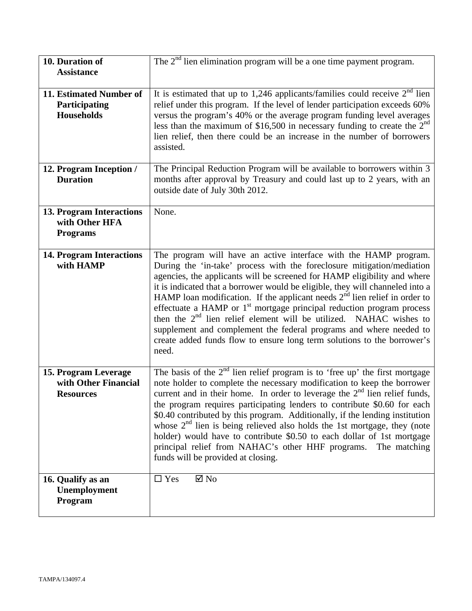| 10. Duration of                                                      | The $2nd$ lien elimination program will be a one time payment program.                                                                                                                                                                                                                                                                                                                                                                                                                                                                                                                                                                                                                                         |
|----------------------------------------------------------------------|----------------------------------------------------------------------------------------------------------------------------------------------------------------------------------------------------------------------------------------------------------------------------------------------------------------------------------------------------------------------------------------------------------------------------------------------------------------------------------------------------------------------------------------------------------------------------------------------------------------------------------------------------------------------------------------------------------------|
| <b>Assistance</b>                                                    |                                                                                                                                                                                                                                                                                                                                                                                                                                                                                                                                                                                                                                                                                                                |
| 11. Estimated Number of<br>Participating<br><b>Households</b>        | It is estimated that up to 1,246 applicants/families could receive $2nd$ lien<br>relief under this program. If the level of lender participation exceeds 60%<br>versus the program's 40% or the average program funding level averages<br>less than the maximum of \$16,500 in necessary funding to create the $2nd$<br>lien relief, then there could be an increase in the number of borrowers<br>assisted.                                                                                                                                                                                                                                                                                                   |
| 12. Program Inception /<br><b>Duration</b>                           | The Principal Reduction Program will be available to borrowers within 3<br>months after approval by Treasury and could last up to 2 years, with an<br>outside date of July 30th 2012.                                                                                                                                                                                                                                                                                                                                                                                                                                                                                                                          |
| <b>13. Program Interactions</b><br>with Other HFA<br><b>Programs</b> | None.                                                                                                                                                                                                                                                                                                                                                                                                                                                                                                                                                                                                                                                                                                          |
| <b>14. Program Interactions</b><br>with HAMP                         | The program will have an active interface with the HAMP program.<br>During the 'in-take' process with the foreclosure mitigation/mediation<br>agencies, the applicants will be screened for HAMP eligibility and where<br>it is indicated that a borrower would be eligible, they will channeled into a<br>HAMP loan modification. If the applicant needs $2nd$ lien relief in order to<br>effectuate a HAMP or 1 <sup>st</sup> mortgage principal reduction program process<br>then the $2nd$ lien relief element will be utilized. NAHAC wishes to<br>supplement and complement the federal programs and where needed to<br>create added funds flow to ensure long term solutions to the borrower's<br>need. |
| 15. Program Leverage<br>with Other Financial<br><b>Resources</b>     | The basis of the $2nd$ lien relief program is to 'free up' the first mortgage<br>note holder to complete the necessary modification to keep the borrower<br>current and in their home. In order to leverage the $2nd$ lien relief funds,<br>the program requires participating lenders to contribute \$0.60 for each<br>\$0.40 contributed by this program. Additionally, if the lending institution<br>whose $2nd$ lien is being relieved also holds the 1st mortgage, they (note<br>holder) would have to contribute \$0.50 to each dollar of 1st mortgage<br>principal relief from NAHAC's other HHF programs. The matching<br>funds will be provided at closing.                                           |
| 16. Qualify as an<br>Unemployment<br>Program                         | $\boxtimes$ No<br>$\Box$ Yes                                                                                                                                                                                                                                                                                                                                                                                                                                                                                                                                                                                                                                                                                   |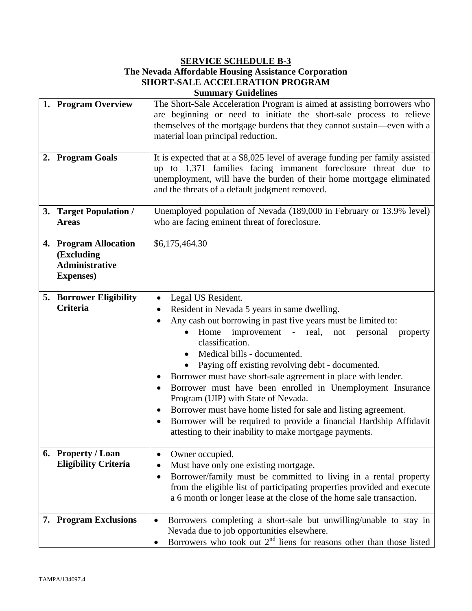## **SERVICE SCHEDULE B-3**

## **The Nevada Affordable Housing Assistance Corporation SHORT-SALE ACCELERATION PROGRAM Summary Guidelines**

| 1. Program Overview                                                               | The Short-Sale Acceleration Program is aimed at assisting borrowers who<br>are beginning or need to initiate the short-sale process to relieve<br>themselves of the mortgage burdens that they cannot sustain—even with a<br>material loan principal reduction.                                                                                                                                                                                                                                                                                                                                                                                                                                                                                             |  |
|-----------------------------------------------------------------------------------|-------------------------------------------------------------------------------------------------------------------------------------------------------------------------------------------------------------------------------------------------------------------------------------------------------------------------------------------------------------------------------------------------------------------------------------------------------------------------------------------------------------------------------------------------------------------------------------------------------------------------------------------------------------------------------------------------------------------------------------------------------------|--|
| 2. Program Goals                                                                  | It is expected that at a \$8,025 level of average funding per family assisted<br>up to 1,371 families facing immanent foreclosure threat due to<br>unemployment, will have the burden of their home mortgage eliminated<br>and the threats of a default judgment removed.                                                                                                                                                                                                                                                                                                                                                                                                                                                                                   |  |
| 3. Target Population /<br><b>Areas</b>                                            | Unemployed population of Nevada (189,000 in February or 13.9% level)<br>who are facing eminent threat of foreclosure.                                                                                                                                                                                                                                                                                                                                                                                                                                                                                                                                                                                                                                       |  |
| 4. Program Allocation<br>(Excluding<br><b>Administrative</b><br><b>Expenses</b> ) | \$6,175,464.30                                                                                                                                                                                                                                                                                                                                                                                                                                                                                                                                                                                                                                                                                                                                              |  |
| 5. Borrower Eligibility<br><b>Criteria</b>                                        | Legal US Resident.<br>$\bullet$<br>Resident in Nevada 5 years in same dwelling.<br>$\bullet$<br>Any cash out borrowing in past five years must be limited to:<br>$\bullet$<br>Home improvement - real, not personal<br>property<br>$\bullet$<br>classification.<br>Medical bills - documented.<br>Paying off existing revolving debt - documented.<br>Borrower must have short-sale agreement in place with lender.<br>Borrower must have been enrolled in Unemployment Insurance<br>$\bullet$<br>Program (UIP) with State of Nevada.<br>Borrower must have home listed for sale and listing agreement.<br>٠<br>Borrower will be required to provide a financial Hardship Affidavit<br>$\bullet$<br>attesting to their inability to make mortgage payments. |  |
| 6. Property / Loan<br><b>Eligibility Criteria</b>                                 | Owner occupied.<br>$\bullet$<br>Must have only one existing mortgage.<br>Borrower/family must be committed to living in a rental property<br>$\bullet$<br>from the eligible list of participating properties provided and execute<br>a 6 month or longer lease at the close of the home sale transaction.                                                                                                                                                                                                                                                                                                                                                                                                                                                   |  |
| 7. Program Exclusions                                                             | Borrowers completing a short-sale but unwilling/unable to stay in<br>Nevada due to job opportunities elsewhere.<br>Borrowers who took out $2nd$ liens for reasons other than those listed                                                                                                                                                                                                                                                                                                                                                                                                                                                                                                                                                                   |  |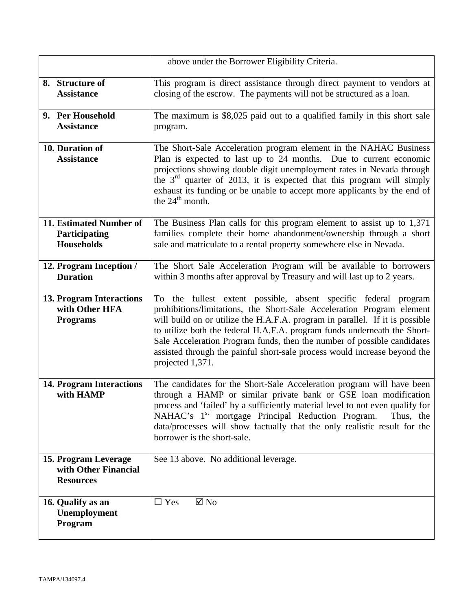|                                                                      | above under the Borrower Eligibility Criteria.                                                                                                                                                                                                                                                                                                                                                                                                                                   |  |
|----------------------------------------------------------------------|----------------------------------------------------------------------------------------------------------------------------------------------------------------------------------------------------------------------------------------------------------------------------------------------------------------------------------------------------------------------------------------------------------------------------------------------------------------------------------|--|
| 8. Structure of<br><b>Assistance</b>                                 | This program is direct assistance through direct payment to vendors at<br>closing of the escrow. The payments will not be structured as a loan.                                                                                                                                                                                                                                                                                                                                  |  |
| 9. Per Household<br><b>Assistance</b>                                | The maximum is \$8,025 paid out to a qualified family in this short sale<br>program.                                                                                                                                                                                                                                                                                                                                                                                             |  |
| 10. Duration of<br><b>Assistance</b>                                 | The Short-Sale Acceleration program element in the NAHAC Business<br>Plan is expected to last up to 24 months. Due to current economic<br>projections showing double digit unemployment rates in Nevada through<br>the $3rd$ quarter of 2013, it is expected that this program will simply<br>exhaust its funding or be unable to accept more applicants by the end of<br>the $24^{\text{th}}$ month.                                                                            |  |
| 11. Estimated Number of<br>Participating<br><b>Households</b>        | The Business Plan calls for this program element to assist up to 1,371<br>families complete their home abandonment/ownership through a short<br>sale and matriculate to a rental property somewhere else in Nevada.                                                                                                                                                                                                                                                              |  |
| 12. Program Inception /<br><b>Duration</b>                           | The Short Sale Acceleration Program will be available to borrowers<br>within 3 months after approval by Treasury and will last up to 2 years.                                                                                                                                                                                                                                                                                                                                    |  |
| <b>13. Program Interactions</b><br>with Other HFA<br><b>Programs</b> | To the fullest extent possible, absent specific federal program<br>prohibitions/limitations, the Short-Sale Acceleration Program element<br>will build on or utilize the H.A.F.A. program in parallel. If it is possible<br>to utilize both the federal H.A.F.A. program funds underneath the Short-<br>Sale Acceleration Program funds, then the number of possible candidates<br>assisted through the painful short-sale process would increase beyond the<br>projected 1,371. |  |
| <b>14. Program Interactions</b><br>with HAMP                         | The candidates for the Short-Sale Acceleration program will have been<br>through a HAMP or similar private bank or GSE loan modification<br>process and 'failed' by a sufficiently material level to not even qualify for<br>NAHAC's 1 <sup>st</sup> mortgage Principal Reduction Program.<br>Thus, the<br>data/processes will show factually that the only realistic result for the<br>borrower is the short-sale.                                                              |  |
| 15. Program Leverage<br>with Other Financial<br><b>Resources</b>     | See 13 above. No additional leverage.                                                                                                                                                                                                                                                                                                                                                                                                                                            |  |
| 16. Qualify as an<br>Unemployment<br>Program                         | $\square$ Yes<br>$\boxtimes$ No                                                                                                                                                                                                                                                                                                                                                                                                                                                  |  |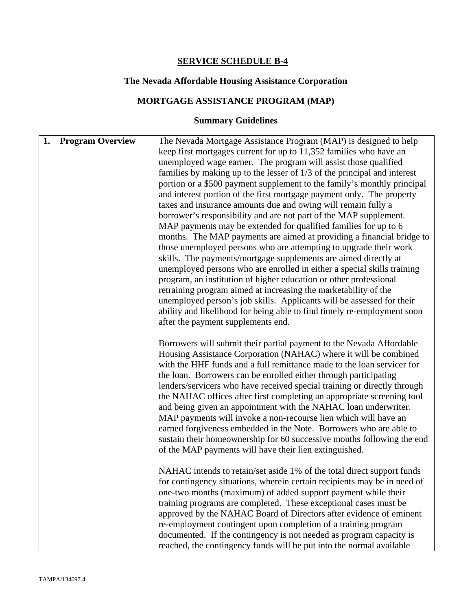# **SERVICE SCHEDULE B-4**

# **The Nevada Affordable Housing Assistance Corporation**

# **MORTGAGE ASSISTANCE PROGRAM (MAP)**

# **Summary Guidelines**

| <b>Program Overview</b><br>1. | The Nevada Mortgage Assistance Program (MAP) is designed to help<br>keep first mortgages current for up to 11,352 families who have an<br>unemployed wage earner. The program will assist those qualified<br>families by making up to the lesser of 1/3 of the principal and interest<br>portion or a \$500 payment supplement to the family's monthly principal<br>and interest portion of the first mortgage payment only. The property<br>taxes and insurance amounts due and owing will remain fully a<br>borrower's responsibility and are not part of the MAP supplement.<br>MAP payments may be extended for qualified families for up to 6<br>months. The MAP payments are aimed at providing a financial bridge to<br>those unemployed persons who are attempting to upgrade their work<br>skills. The payments/mortgage supplements are aimed directly at<br>unemployed persons who are enrolled in either a special skills training<br>program, an institution of higher education or other professional<br>retraining program aimed at increasing the marketability of the<br>unemployed person's job skills. Applicants will be assessed for their<br>ability and likelihood for being able to find timely re-employment soon<br>after the payment supplements end. |
|-------------------------------|----------------------------------------------------------------------------------------------------------------------------------------------------------------------------------------------------------------------------------------------------------------------------------------------------------------------------------------------------------------------------------------------------------------------------------------------------------------------------------------------------------------------------------------------------------------------------------------------------------------------------------------------------------------------------------------------------------------------------------------------------------------------------------------------------------------------------------------------------------------------------------------------------------------------------------------------------------------------------------------------------------------------------------------------------------------------------------------------------------------------------------------------------------------------------------------------------------------------------------------------------------------------------------|
|                               | Borrowers will submit their partial payment to the Nevada Affordable<br>Housing Assistance Corporation (NAHAC) where it will be combined<br>with the HHF funds and a full remittance made to the loan servicer for<br>the loan. Borrowers can be enrolled either through participating<br>lenders/servicers who have received special training or directly through<br>the NAHAC offices after first completing an appropriate screening tool<br>and being given an appointment with the NAHAC loan underwriter.<br>MAP payments will invoke a non-recourse lien which will have an<br>earned forgiveness embedded in the Note. Borrowers who are able to<br>sustain their homeownership for 60 successive months following the end<br>of the MAP payments will have their lien extinguished.                                                                                                                                                                                                                                                                                                                                                                                                                                                                                     |
|                               | NAHAC intends to retain/set aside 1% of the total direct support funds<br>for contingency situations, wherein certain recipients may be in need of<br>one-two months (maximum) of added support payment while their<br>training programs are completed. These exceptional cases must be<br>approved by the NAHAC Board of Directors after evidence of eminent<br>re-employment contingent upon completion of a training program<br>documented. If the contingency is not needed as program capacity is<br>reached, the contingency funds will be put into the normal available                                                                                                                                                                                                                                                                                                                                                                                                                                                                                                                                                                                                                                                                                                   |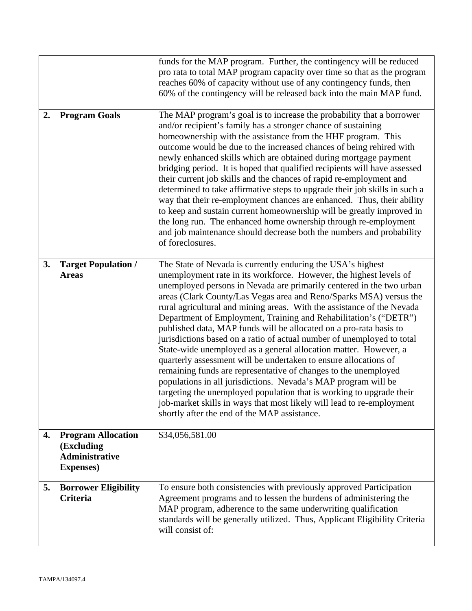|    |                                                                                       | funds for the MAP program. Further, the contingency will be reduced<br>pro rata to total MAP program capacity over time so that as the program<br>reaches 60% of capacity without use of any contingency funds, then<br>60% of the contingency will be released back into the main MAP fund.                                                                                                                                                                                                                                                                                                                                                                                                                                                                                                                                                                                                                                                                                                                                                                |
|----|---------------------------------------------------------------------------------------|-------------------------------------------------------------------------------------------------------------------------------------------------------------------------------------------------------------------------------------------------------------------------------------------------------------------------------------------------------------------------------------------------------------------------------------------------------------------------------------------------------------------------------------------------------------------------------------------------------------------------------------------------------------------------------------------------------------------------------------------------------------------------------------------------------------------------------------------------------------------------------------------------------------------------------------------------------------------------------------------------------------------------------------------------------------|
| 2. | <b>Program Goals</b>                                                                  | The MAP program's goal is to increase the probability that a borrower<br>and/or recipient's family has a stronger chance of sustaining<br>homeownership with the assistance from the HHF program. This<br>outcome would be due to the increased chances of being rehired with<br>newly enhanced skills which are obtained during mortgage payment<br>bridging period. It is hoped that qualified recipients will have assessed<br>their current job skills and the chances of rapid re-employment and<br>determined to take affirmative steps to upgrade their job skills in such a<br>way that their re-employment chances are enhanced. Thus, their ability<br>to keep and sustain current homeownership will be greatly improved in<br>the long run. The enhanced home ownership through re-employment<br>and job maintenance should decrease both the numbers and probability<br>of foreclosures.                                                                                                                                                       |
| 3. | <b>Target Population /</b><br><b>Areas</b>                                            | The State of Nevada is currently enduring the USA's highest<br>unemployment rate in its workforce. However, the highest levels of<br>unemployed persons in Nevada are primarily centered in the two urban<br>areas (Clark County/Las Vegas area and Reno/Sparks MSA) versus the<br>rural agricultural and mining areas. With the assistance of the Nevada<br>Department of Employment, Training and Rehabilitation's ("DETR")<br>published data, MAP funds will be allocated on a pro-rata basis to<br>jurisdictions based on a ratio of actual number of unemployed to total<br>State-wide unemployed as a general allocation matter. However, a<br>quarterly assessment will be undertaken to ensure allocations of<br>remaining funds are representative of changes to the unemployed<br>populations in all jurisdictions. Nevada's MAP program will be<br>targeting the unemployed population that is working to upgrade their<br>job-market skills in ways that most likely will lead to re-employment<br>shortly after the end of the MAP assistance. |
| 4. | <b>Program Allocation</b><br>(Excluding<br><b>Administrative</b><br><b>Expenses</b> ) | \$34,056,581.00                                                                                                                                                                                                                                                                                                                                                                                                                                                                                                                                                                                                                                                                                                                                                                                                                                                                                                                                                                                                                                             |
| 5. | <b>Borrower Eligibility</b><br><b>Criteria</b>                                        | To ensure both consistencies with previously approved Participation<br>Agreement programs and to lessen the burdens of administering the<br>MAP program, adherence to the same underwriting qualification<br>standards will be generally utilized. Thus, Applicant Eligibility Criteria<br>will consist of:                                                                                                                                                                                                                                                                                                                                                                                                                                                                                                                                                                                                                                                                                                                                                 |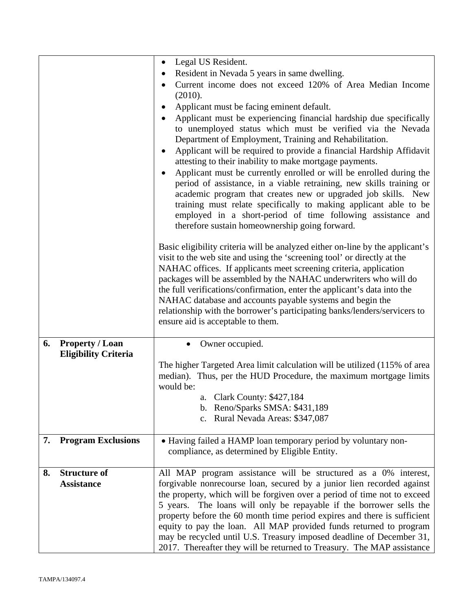|    |                             | Legal US Resident.<br>$\bullet$<br>Resident in Nevada 5 years in same dwelling.<br>٠<br>Current income does not exceed 120% of Area Median Income<br>(2010).<br>Applicant must be facing eminent default.<br>Applicant must be experiencing financial hardship due specifically<br>to unemployed status which must be verified via the Nevada<br>Department of Employment, Training and Rehabilitation.<br>Applicant will be required to provide a financial Hardship Affidavit<br>٠<br>attesting to their inability to make mortgage payments.<br>Applicant must be currently enrolled or will be enrolled during the<br>$\bullet$<br>period of assistance, in a viable retraining, new skills training or<br>academic program that creates new or upgraded job skills. New<br>training must relate specifically to making applicant able to be<br>employed in a short-period of time following assistance and<br>therefore sustain homeownership going forward.<br>Basic eligibility criteria will be analyzed either on-line by the applicant's<br>visit to the web site and using the 'screening tool' or directly at the<br>NAHAC offices. If applicants meet screening criteria, application<br>packages will be assembled by the NAHAC underwriters who will do<br>the full verifications/confirmation, enter the applicant's data into the<br>NAHAC database and accounts payable systems and begin the<br>relationship with the borrower's participating banks/lenders/servicers to<br>ensure aid is acceptable to them. |  |
|----|-----------------------------|-----------------------------------------------------------------------------------------------------------------------------------------------------------------------------------------------------------------------------------------------------------------------------------------------------------------------------------------------------------------------------------------------------------------------------------------------------------------------------------------------------------------------------------------------------------------------------------------------------------------------------------------------------------------------------------------------------------------------------------------------------------------------------------------------------------------------------------------------------------------------------------------------------------------------------------------------------------------------------------------------------------------------------------------------------------------------------------------------------------------------------------------------------------------------------------------------------------------------------------------------------------------------------------------------------------------------------------------------------------------------------------------------------------------------------------------------------------------------------------------------------------------------------------|--|
| 6. | <b>Property / Loan</b>      | Owner occupied.                                                                                                                                                                                                                                                                                                                                                                                                                                                                                                                                                                                                                                                                                                                                                                                                                                                                                                                                                                                                                                                                                                                                                                                                                                                                                                                                                                                                                                                                                                                   |  |
|    | <b>Eligibility Criteria</b> |                                                                                                                                                                                                                                                                                                                                                                                                                                                                                                                                                                                                                                                                                                                                                                                                                                                                                                                                                                                                                                                                                                                                                                                                                                                                                                                                                                                                                                                                                                                                   |  |
|    |                             | The higher Targeted Area limit calculation will be utilized (115% of area<br>median). Thus, per the HUD Procedure, the maximum mortgage limits<br>would be:                                                                                                                                                                                                                                                                                                                                                                                                                                                                                                                                                                                                                                                                                                                                                                                                                                                                                                                                                                                                                                                                                                                                                                                                                                                                                                                                                                       |  |
|    |                             | a. Clark County: \$427,184                                                                                                                                                                                                                                                                                                                                                                                                                                                                                                                                                                                                                                                                                                                                                                                                                                                                                                                                                                                                                                                                                                                                                                                                                                                                                                                                                                                                                                                                                                        |  |
|    |                             | b. Reno/Sparks SMSA: \$431,189                                                                                                                                                                                                                                                                                                                                                                                                                                                                                                                                                                                                                                                                                                                                                                                                                                                                                                                                                                                                                                                                                                                                                                                                                                                                                                                                                                                                                                                                                                    |  |
|    |                             | Rural Nevada Areas: \$347,087<br>$c_{\cdot}$                                                                                                                                                                                                                                                                                                                                                                                                                                                                                                                                                                                                                                                                                                                                                                                                                                                                                                                                                                                                                                                                                                                                                                                                                                                                                                                                                                                                                                                                                      |  |
| 7. | <b>Program Exclusions</b>   | • Having failed a HAMP loan temporary period by voluntary non-<br>compliance, as determined by Eligible Entity.                                                                                                                                                                                                                                                                                                                                                                                                                                                                                                                                                                                                                                                                                                                                                                                                                                                                                                                                                                                                                                                                                                                                                                                                                                                                                                                                                                                                                   |  |
| 8. | <b>Structure of</b>         | All MAP program assistance will be structured as a 0% interest,                                                                                                                                                                                                                                                                                                                                                                                                                                                                                                                                                                                                                                                                                                                                                                                                                                                                                                                                                                                                                                                                                                                                                                                                                                                                                                                                                                                                                                                                   |  |
|    | <b>Assistance</b>           | forgivable nonrecourse loan, secured by a junior lien recorded against<br>the property, which will be forgiven over a period of time not to exceed                                                                                                                                                                                                                                                                                                                                                                                                                                                                                                                                                                                                                                                                                                                                                                                                                                                                                                                                                                                                                                                                                                                                                                                                                                                                                                                                                                                |  |
|    |                             | 5 years. The loans will only be repayable if the borrower sells the                                                                                                                                                                                                                                                                                                                                                                                                                                                                                                                                                                                                                                                                                                                                                                                                                                                                                                                                                                                                                                                                                                                                                                                                                                                                                                                                                                                                                                                               |  |
|    |                             | property before the 60 month time period expires and there is sufficient                                                                                                                                                                                                                                                                                                                                                                                                                                                                                                                                                                                                                                                                                                                                                                                                                                                                                                                                                                                                                                                                                                                                                                                                                                                                                                                                                                                                                                                          |  |
|    |                             | equity to pay the loan. All MAP provided funds returned to program                                                                                                                                                                                                                                                                                                                                                                                                                                                                                                                                                                                                                                                                                                                                                                                                                                                                                                                                                                                                                                                                                                                                                                                                                                                                                                                                                                                                                                                                |  |
|    |                             | may be recycled until U.S. Treasury imposed deadline of December 31,<br>2017. Thereafter they will be returned to Treasury. The MAP assistance                                                                                                                                                                                                                                                                                                                                                                                                                                                                                                                                                                                                                                                                                                                                                                                                                                                                                                                                                                                                                                                                                                                                                                                                                                                                                                                                                                                    |  |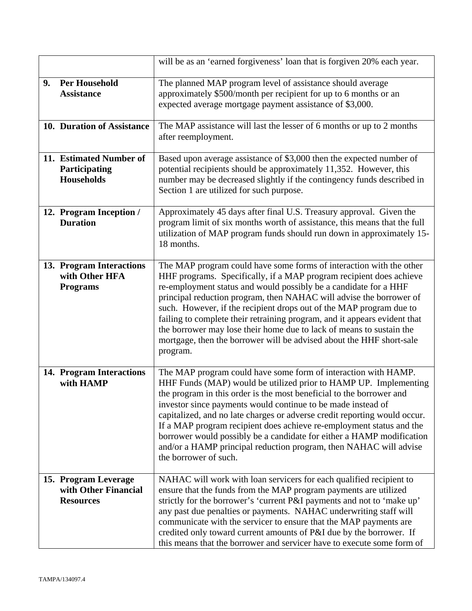|    |                                                                  | will be as an 'earned forgiveness' loan that is forgiven 20% each year.                                                                                                                                                                                                                                                                                                                                                                                                                                                                                                                                |  |
|----|------------------------------------------------------------------|--------------------------------------------------------------------------------------------------------------------------------------------------------------------------------------------------------------------------------------------------------------------------------------------------------------------------------------------------------------------------------------------------------------------------------------------------------------------------------------------------------------------------------------------------------------------------------------------------------|--|
| 9. | <b>Per Household</b><br><b>Assistance</b>                        | The planned MAP program level of assistance should average<br>approximately \$500/month per recipient for up to 6 months or an<br>expected average mortgage payment assistance of \$3,000.                                                                                                                                                                                                                                                                                                                                                                                                             |  |
|    | 10. Duration of Assistance                                       | The MAP assistance will last the lesser of 6 months or up to 2 months<br>after reemployment.                                                                                                                                                                                                                                                                                                                                                                                                                                                                                                           |  |
|    | 11. Estimated Number of<br>Participating<br><b>Households</b>    | Based upon average assistance of \$3,000 then the expected number of<br>potential recipients should be approximately 11,352. However, this<br>number may be decreased slightly if the contingency funds described in<br>Section 1 are utilized for such purpose.                                                                                                                                                                                                                                                                                                                                       |  |
|    | 12. Program Inception /<br><b>Duration</b>                       | Approximately 45 days after final U.S. Treasury approval. Given the<br>program limit of six months worth of assistance, this means that the full<br>utilization of MAP program funds should run down in approximately 15-<br>18 months.                                                                                                                                                                                                                                                                                                                                                                |  |
|    | 13. Program Interactions<br>with Other HFA<br><b>Programs</b>    | The MAP program could have some forms of interaction with the other<br>HHF programs. Specifically, if a MAP program recipient does achieve<br>re-employment status and would possibly be a candidate for a HHF<br>principal reduction program, then NAHAC will advise the borrower of<br>such. However, if the recipient drops out of the MAP program due to<br>failing to complete their retraining program, and it appears evident that<br>the borrower may lose their home due to lack of means to sustain the<br>mortgage, then the borrower will be advised about the HHF short-sale<br>program.  |  |
|    | 14. Program Interactions<br>with HAMP                            | The MAP program could have some form of interaction with HAMP.<br>HHF Funds (MAP) would be utilized prior to HAMP UP. Implementing<br>the program in this order is the most beneficial to the borrower and<br>investor since payments would continue to be made instead of<br>capitalized, and no late charges or adverse credit reporting would occur.<br>If a MAP program recipient does achieve re-employment status and the<br>borrower would possibly be a candidate for either a HAMP modification<br>and/or a HAMP principal reduction program, then NAHAC will advise<br>the borrower of such. |  |
|    | 15. Program Leverage<br>with Other Financial<br><b>Resources</b> | NAHAC will work with loan servicers for each qualified recipient to<br>ensure that the funds from the MAP program payments are utilized<br>strictly for the borrower's 'current P&I payments and not to 'make up'<br>any past due penalties or payments. NAHAC underwriting staff will<br>communicate with the servicer to ensure that the MAP payments are<br>credited only toward current amounts of P&I due by the borrower. If<br>this means that the borrower and servicer have to execute some form of                                                                                           |  |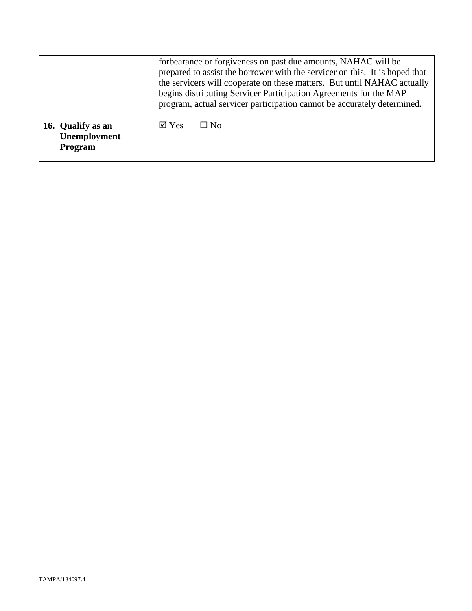|                                              | forbearance or forgiveness on past due amounts, NAHAC will be<br>prepared to assist the borrower with the servicer on this. It is hoped that<br>the servicers will cooperate on these matters. But until NAHAC actually<br>begins distributing Servicer Participation Agreements for the MAP<br>program, actual servicer participation cannot be accurately determined. |  |
|----------------------------------------------|-------------------------------------------------------------------------------------------------------------------------------------------------------------------------------------------------------------------------------------------------------------------------------------------------------------------------------------------------------------------------|--|
| 16. Qualify as an<br>Unemployment<br>Program | $\boxtimes$ Yes<br>⊟ No                                                                                                                                                                                                                                                                                                                                                 |  |